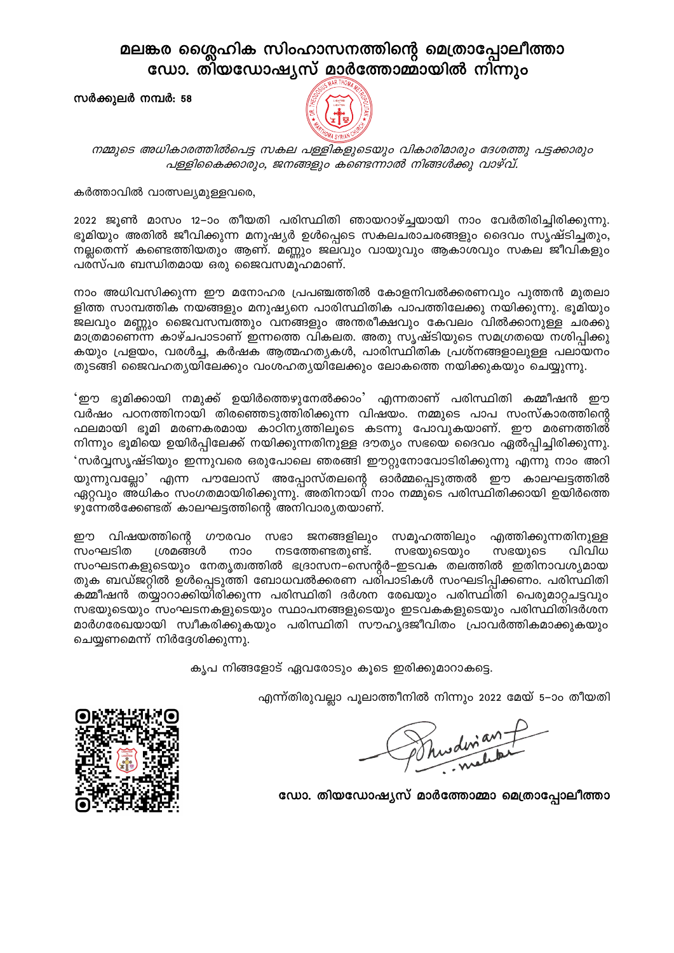## മലങ്കര ശ്ലൈഹിക സിംഹാസനത്തിന്റെ മെത്രാപ്പോലീത്താ ഡോ. തിയഡോഷ്യസ് മാർത്തോമ്മായിൽ നിന്നും

സർക്കുലർ നമ്പർ: 58



നമ്മുടെ അധികാരത്തിൽപെട്ട സകല പള്ളികളുടെയും വികാരിമാരും ദേശത്തു പട്ടക്കാരും പള്ളികൈക്കാരും, ജനങ്ങളും കണ്ടെന്നാൽ നിങ്ങൾക്കു വാഴ്വ്.

## കർത്താവിൽ വാത്സല്യമുള്ളവരെ,

2022 ജൂൺ മാസം 12–ാം തീയതി പരിസ്ഥിതി ഞായറാഴ്ച്ചയായി നാം വേർതിരിച്ചിരിക്കുന്നു. ഭൂമിയും അതിൽ ജീവിക്കുന്ന മനുഷ്യർ ഉൾപ്പെടെ സകലചരാചരങ്ങളും ദൈവം സൃഷ്ടിച്ചതും, നല്ലതെന്ന് കണ്ടെത്തിയതും ആണ്. മണ്ണും ജലവും വായുവും ആകാശവും സകല ജീവികളും പരസ്പര ബന്ധിതമായ ഒരു ജൈവസമൂഹമാണ്.

നാം അധിവസിക്കുന്ന ഈ മനോഹര പ്രപഞ്ചത്തിൽ കോളനിവൽക്കരണവും പുത്തൻ മുതലാ ളിത്ത സാമ്പത്തിക നയങ്ങളും മനുഷ്യനെ പാരിസ്ഥിതിക പാപത്തിലേക്കു നയിക്കുന്നു. ഭൂമിയും ജലവും മണ്ണും ജൈവസമ്പത്തും വനങ്ങളും അന്തരീക്ഷവും കേവലം വിൽക്കാനുള്ള ചരക്കു മാത്രമാണെന്ന കാഴ്ചപാടാണ് ഇന്നത്തെ വികലത. അതു സൃഷ്ടിയുടെ സമഗ്രതയെ നശിപ്പിക്കു കയും പ്രളയം, വരൾച്ച, കർഷക ആത്മഹത്യകൾ, പാരിസ്ഥിതിക പ്രശ്നങ്ങളാലുള്ള പലായനം തുടങ്ങി ജൈവഹത്യയിലേക്കും വംശഹത്യയിലേക്കും ലോകത്തെ നയിക്കുകയും ചെയ്യുന്നു.

'ഈ ഭുമിക്കായി നമുക്ക് ഉയിർത്തെഴുനേൽക്കാം' എന്നതാണ് പരിസ്ഥിതി കമ്മീഷൻ ഈ വർഷം പഠനത്തിനായി തിരഞ്ഞെടുത്തിരിക്കുന്ന വിഷയം. നമ്മുടെ പാപ സംസ്കാരത്തിന്റെ ഫലമായി ഭൂമി മരണകരമായ കാഠിന്യത്തിലൂടെ കടന്നു പോവുകയാണ്. ഈ മരണത്തിൽ് നിന്നും ഭൂമിയെ ഉയിർപ്പിലേക്ക് നയിക്കുന്നതിനുള്ള ദൗത്യം സഭയെ ദൈവം ഏൽപ്പിച്ചിരിക്കുന്നു. 'സർവ്വസൃഷ്ടിയും ഇന്നുവരെ ഒരുപോലെ ഞരങ്ങി ഈറ്റുനോവോടിരിക്കുന്നു എന്നു നാം അറി യുന്നുവല്ലോ' എന്ന പൗലോസ് അപ്പോസ്തലന്റെ ഓർമ്മപ്പെടുത്തൽ ഈ കാലഘട്ടത്തിൽ ഏറ്റവും അധികം സംഗതമായിരിക്കുന്നു. അതിനായി നാം നമ്മുടെ പരിസ്ഥിതിക്കായി ഉയിർത്തെ ഴുന്നേൽക്കേണ്ടത് കാലഘട്ടത്തിന്റെ അനിവാര്യതയാണ്.

ഈ വിഷയത്തിന്റെ ഗൗരവം സഭാ ജനങ്ങളിലും സമൂഹത്തിലും എത്തിക്കുന്നതിനുള്ള ശ്രമങ്ങൾ നാം നടത്തേണ്ടതുണ്ട്. സംഘടിത സഭയുടെയും സഭയുടെ വിവിധ സംഘടനകളുടെയും നേതൃത്വത്തിൽ ഭദ്രാസന–സെന്റർ–ഇടവക തലത്തിൽ ഇതിനാവശ്യമായ തുക ബഡ്ജറ്റിൽ ഉൾപ്പെടുത്തി ബോധവൽക്കരണ പരിപാടികൾ സംഘടിപ്പിക്കണം. പരിസ്ഥിതി കമ്മീഷൻ തയ്യാറാക്കിയിരിക്കുന്ന പരിസ്ഥിതി ദർശന രേഖയും പരിസ്ഥിതി പെരുമാറ്റചട്ടവും സഭയുടെയും സംഘടനകളുടെയും സ്ഥാപനങ്ങളുടെയും ഇടവകകളുടെയും പരിസ്ഥിതിദർശന മാർഗരേഖയായി സ്വീകരിക്കുകയും പരിസ്ഥിതി സൗഹൃദജീവിതം പ്രാവർത്തികമാക്കുകയും ചെയ്യണമെന്ന് നിർദ്ദേശിക്കുന്നു.

കൃപ നിങ്ങളോട് ഏവരോടും കൂടെ ഇരിക്കുമാറാകട്ടെ.

എന്ന്തിരുവല്ലാ പൂലാത്തീനിൽ നിന്നും 2022 മേയ് 5–ാം തീയതി

Shudwant

ഡോ. തിയഡോഷ്യസ് മാർത്തോമ്മാ മെത്രാപ്പോലീത്താ